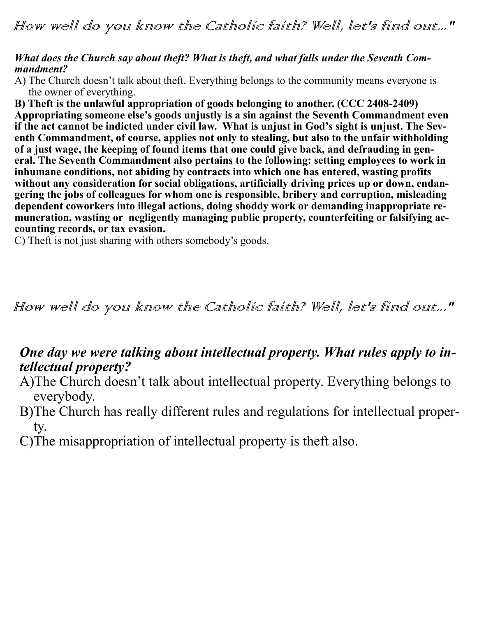#### *What does the Church say about theft? What is theft, and what falls under the Seventh Commandment?*

A) The Church doesn't talk about theft. Everything belongs to the community means everyone is the owner of everything.

**B) Theft is the unlawful appropriation of goods belonging to another. (CCC 2408-2409) Appropriating someone else's goods unjustly is a sin against the Seventh Commandment even if the act cannot be indicted under civil law. What is unjust in God's sight is unjust. The Seventh Commandment, of course, applies not only to stealing, but also to the unfair withholding of a just wage, the keeping of found items that one could give back, and defrauding in general. The Seventh Commandment also pertains to the following: setting employees to work in inhumane conditions, not abiding by contracts into which one has entered, wasting profits without any consideration for social obligations, artificially driving prices up or down, endangering the jobs of colleagues for whom one is responsible, bribery and corruption, misleading dependent coworkers into illegal actions, doing shoddy work or demanding inappropriate remuneration, wasting or negligently managing public property, counterfeiting or falsifying accounting records, or tax evasion.** 

C) Theft is not just sharing with others somebody's goods.

How well do you know the Catholic faith? Well, let's find out..."

### *One day we were talking about intellectual property. What rules apply to intellectual property?*

- A)The Church doesn't talk about intellectual property. Everything belongs to everybody.
- B)The Church has really different rules and regulations for intellectual property.
- C)The misappropriation of intellectual property is theft also.